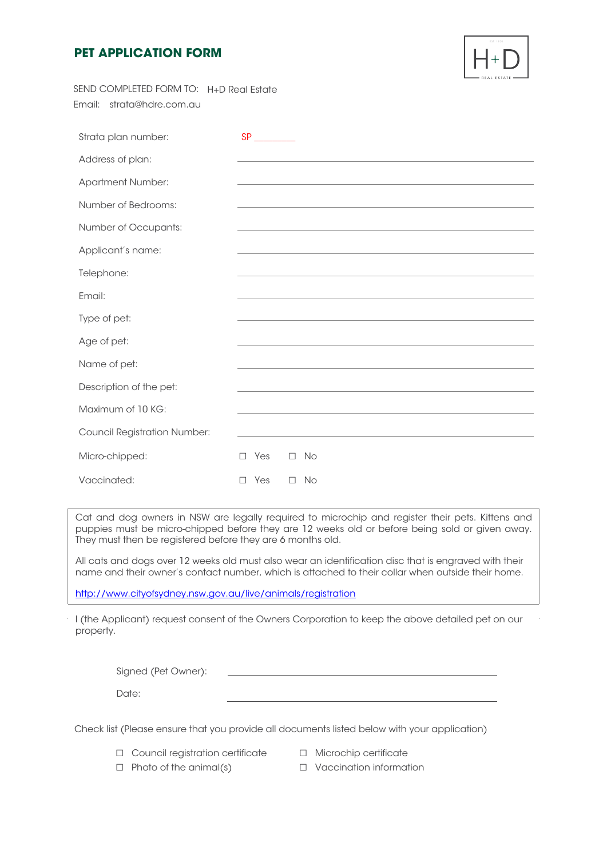## **PET APPLICATION FORM**



| SEND COMPLETED FORM TO: H+D Real Estate |                            |
|-----------------------------------------|----------------------------|
| Email:<br>strata@hdre.com.au            |                            |
|                                         |                            |
| Strata plan number:                     | SP                         |
| Address of plan:                        |                            |
| <b>Apartment Number:</b>                |                            |
| Number of Bedrooms:                     |                            |
| Number of Occupants:                    |                            |
| Applicant's name:                       |                            |
| Telephone:                              |                            |
| Email:                                  |                            |
| Type of pet:                            |                            |
| Age of pet:                             |                            |
| Name of pet:                            |                            |
| Description of the pet:                 |                            |
| Maximum of 10 KG:                       |                            |
|                                         |                            |
| <b>Council Registration Number:</b>     |                            |
| Micro-chipped:                          | $\Box$ Yes<br>$\square$ No |
| Vaccinated:                             | Yes<br>$\square$ No<br>П.  |

Cat and dog owners in NSW are legally required to microchip and register their pets. Kittens and puppies must be micro-chipped before they are 12 weeks old or before being sold or given away. They must then be registered before they are 6 months old.

All cats and dogs over 12 weeks old must also wear an identification disc that is engraved with their name and their owner's contact number, which is attached to their collar when outside their home.

http://www.cityofsydney.nsw.gov.au/live/animals/registration

I (the Applicant) request consent of the Owners Corporation to keep the above detailed pet on our property.

| Signed (Pet Owner): |  |
|---------------------|--|
| Date:               |  |

Check list (Please ensure that you provide all documents listed below with your application)

- ☐ Council registration certificate ☐ Microchip certificate
	-
- ☐ Photo of the animal(s) ☐ Vaccination information
-